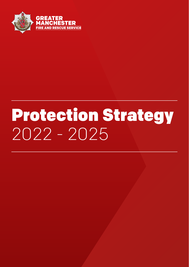

# Protection Strategy 2022 - 2025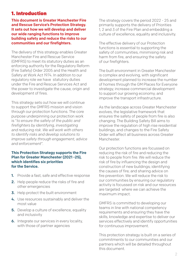#### 1. Introduction

This document is Greater Manchester Fire and Rescue Service's Protection Strategy. It sets out how we will develop and deliver our wide ranging functions to improve building safety and reduce the risks to our communities and our firefighters.

The delivery of this strategy enables Greater Manchester Fire and Rescue Service (GMFRS) to meet its statutory duties as an enforcing authority for the Regulatory Reform (Fire Safety) Order 2005 and the Health and Safety at Work Act 1974. In addition to our regulatory role we have statutory duties under the Fire and Rescue Services Act and the power to investigate the cause, origin and development of fires.

This strategy sets out how we will continue to support the GMFRS mission and vision through our protection functions. The core purpose underpinning our protection work is "*to ensure the safety of the public and firefighters by identifying, investigating and reducing risk. We will work with others to identify risks and develop solutions to improve safety through engagement, advice and enforcement*".

#### This Protection Strategy supports the Fire Plan for Greater Manchester (2021 -25), which identifies six priorities for the Service.

- 1. Provide a fast, safe and effective response
- 2. Help people reduce the risks of fire and other emergencies
- 3. Help protect the built environment
- 4. Use resources sustainably and deliver the most value
- **5.** Develop a culture of excellence, equality and inclusivity
- **6.** Integrate our services in every locality, with those of partner agencies

The strategy covers the period 2022 - 25 and primarily supports the delivery of Priorities 1, 2 and 3 of the Fire Plan and embedding a culture of excellence, equality and inclusivity.

The effective delivery of our Protection functions is essential to supporting the safety of communities, minimising risk and harm from fire, and ensuring the safety of our firefighters.

The built environment in Greater Manchester is complex and evolving, with significant development planned to increase the number of homes through the GM Places for Everyone strategy; increase commercial development to support our growing economy; and improve the transport infrastructure.

As the landscape across Greater Manchester evolves, the legislative framework that ensures the safety of people from fire is also changing. The Building Safety Bill aims to improve the regulation of high rise residential buildings, and changes to the Fire Safety Order will affect all business across Greater Manchester.

Our protection functions are focussed on reducing the risk of fire and reducing the risk to people from fire. We will reduce the risk of fire by influencing the design and construction of new buildings; identifying the causes of fire; and sharing advice on fire prevention. We will reduce the risk to our communities by ensuring our regulatory activity is focussed on risk and our resources are targeted where we can achieve the maximum impact.

GMFRS is committed to developing our teams in line with national competency requirements and ensuring they have the skills, knowledge and expertise to deliver our services effectively and identify opportunities for continuous improvement.

This protection strategy is built on a series of commitments to our communities and our partners which will be detailed throughout this document.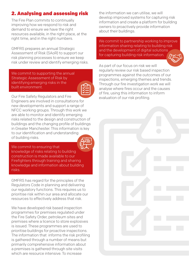## 2. Analysing and assessing risk

The Fire Plan commits to continually improving how we respond to risk and demand to ensure we have the right resources available, in the right place, at the right time, and in the right numbers.

GMFRS prepares an annual Strategic Assessment of Risk (SAoR) to support our risk planning processes to ensure we keep risk under review and identify emerging risks.

We commit to supporting the annual Strategic Assessment of Risk by identifying emerging risks in the built environment.

Our Fire Safety Regulators and Fire Engineers are involved in consultations for new developments and support a range of NFCC working groups. Through this work we are able to monitor and identify emerging risks related to the design and construction of buildings and the changing profile of buildings in Greater Manchester. This information is key to our identification and understanding of building risks.

We commit to ensuring that knowledge of risks relating to building construction is made available to our Firefighters through training and sharing knowledge and information about building risks.

GMFRS has regard for the principles of the Regulators Code in planning and delivering our regulatory functions. This requires us to prioritise risk within our area and allocate our resources to effectively address that risk.

We have developed risk based inspection programmes for premises regulated under the Fire Safety Order, petroleum sites and premises where a licence to store explosives is issued. These programmes are used to prioritise buildings for proactive inspections. The information that informs the risk profiling is gathered through a number of means but primarily comprehensive information about a premises is gathered through site visits which are resource intensive. To increase

the information we can utilise, we will develop improved systems for capturing risk information and create a platform for building owners to proactively provide information about their buildings.

We commit to partnership working to improve information sharing relating to building risk and the development of digital solutions for capturing building risk information.



As part of our focus on risk we will regularly review our risk based inspection programmes against the outcomes of our inspections, emerging themes and trends. Through our fire investigation work we will analyse where fires occur and the causes of fire, using this information to inform evaluation of our risk profiling.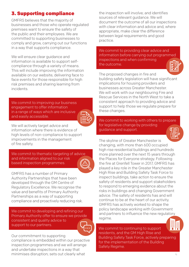#### 3. Supporting compliance

GMFRS believes that the majority of businesses and those who operate regulated premises want to ensure the safety of the public and their employees. We are committed to supporting businesses to comply and grow, carrying out our functions in a way that supports compliance.

We will ensure clear guidance and information is available to support selfcompliance through a variety of means. This will include improving the information available on our website, delivering face to face events for those responsible for high risk premises and sharing learning from incidents.

We commit to improving our business engagement to offer information in a range of ways which are inclusive and easily accessible.



We will actively target advice and information where there is evidence of high levels of non-compliance to support improvements in the management of fire safety.

We commit to thematic targeting of advice and information aligned to our risk based inspection programmes.

GMFRS has a number of Primary Authority Partnerships that have been developed through the GM Centre of Regulatory Excellence. We recognise the value and benefits of Primary Authority Partnerships as a way of supporting compliance and proactively reducing risk.

We commit to developing and refining our Primary Authority offer to ensure we provide consistent and quality advice to support to our partners.



Our commitment to supporting

compliance is embedded within our proactive inspection programmes and we will arrange and undertake inspections in a way that minimises disruption; sets out clearly what

the inspection will involve; and identifies sources of relevant guidance. We will document the outcome of all our inspections with clear information and advice and, where appropriate, make clear the difference between legal requirements and good practice.

We commit to providing clear advice and information before carrying out programmed inspections and when confirming the outcome.



The proposed changes in fire and building safety legislation will have significant implications for housing providers and businesses across Greater Manchester. We will work with our neighbouring Fire and Rescue Services in the North West to take a consistent approach to providing advice and support to help those we regulate prepare for these changes.

We commit to working with others to prepare for legislative change by providing guidance and support.



The skyline of Greater Manchester is changing, with more than 600 occupied high rise residential buildings and hundreds more planned over the next 15 years through the Places for Everyone strategy. Following the fire at Grenfell Tower in 2017, GMFRS has played a key role in the Greater Manchester High Rise and Building Safety Task Force to inspect buildings, take action to ensure the safety of residents and support stakeholders to respond to emerging evidence about the risks in buildings and changing Government advice. The safety of residents has and will continue to be at the heart of our activity. GMFRS has actively worked to shape the policy landscape working with Government and partners to influence the new regulatory regime.

We commit to continuing to support residents, and the GM High Rise and Building Safety Task Force, actively preparing for the implementation of the Building Safety Regime.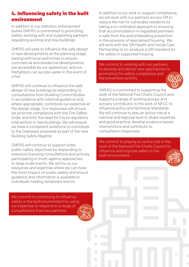## 4. Influencing safety in the built environment

In addition to our statutory enforcement duties GMFRS is committed to promoting safety, working with and supporting partners regulating existing and new buildings.

GMFRS will seek to influence the safe design of new developments at the planning stage, liaising with local authorities to ensure commercial and residential developments are accessible by our appliances, and our firefighters can access water in the event of a fire.

GMFRS will continue to influence the safe design of new buildings by responding to consultations from Building Control Bodies in accordance with national guidance and, where appropriate, contribute our expertise at the design stage. Our responses will ensure we promote compliance with the Fire Safety Order and limit the need for future regulatory intervention in new buildings. We will ensure we have a competent workforce to contribute to the Gateways proposed as part of the new Building Safety Regime.

GMFRS will continue to support wider public safety objectives by responding to statutory licensing consultations and actively participating in multi-agency approaches to large scale events. We will focus our resources and expertise where we can have the most impact on public safety and ensure guidance and information is available to individuals holding temporary events.

In addition to our work to support compliance, we will work with our partners across GM to reduce the risk for vulnerable residents by taking a co-ordinated approach to ensuring that accommodation in regulated premises is safe from fire and embedding prevention in the provision of specialised housing. We will work with the GM Health and Social Care Partnership to co-produce a GM standard for fire safety in supported housing.

We commit to working with our partners to develop and deliver new approaches to promoting fire safety compliance and fire prevention activity.

GMFRS is committed to supporting the work of the National Fire Chiefs Council and supports a range of working groups and actively contributes to the work of NFCC to influence policy and technical standards. We will continue to play an active role at a national and regional level to share expertise and good practice, develop evidence based interventions and contribute to consultation responses.

We commit to playing an active role in the work of the National Fire Chiefs Council to influence and improve safety in the built environment.

We commit to continuing to influence safety in the built environment by using our expertise to respond to a range of consultations from our partners.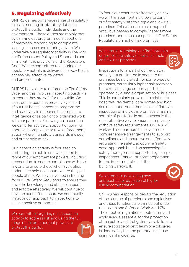## 5. Regulating effectively

GMFRS carries out a wide range of regulatory roles in meeting its statutory duties to protect the public, individuals and the environment. These duties are mainly met by carrying out programmed inspections of premises, responding to complaints, issuing licenses and offering advice. We undertake our regulatory activity in line with our Enforcement Policy and Standards and in line with the provisions of the Regulators Code. We are committed to ensuring our regulatory activity is delivered in a way that is accessible, effective, targeted and proportionate.

GMFRS has a duty to enforce the Fire Safety Order and this involves inspecting buildings to ensure they are safe for the public. We carry out inspections proactively as part of our risk based inspection programme and reactively in response to complaints, intelligence or as part of co-ordinated work with our partners. Following an inspection we can offer advice to support ongoing or improved compliance or take enforcement action where fire safety standards are poor and put people at risk.

Our inspection activity is focussed on protecting the public and we use the full range of our enforcement powers, including prosecution, to secure compliance with the law and to ensure those who have duties under it are held to account where they put people at risk. We have invested in training for our Fire Safety Regulators to ensure they have the knowledge and skills to inspect and enforce effectively. We will continue to develop our staff to ensure we continually improve our approach to inspections to deliver positive outcomes.

We commit to targeting our inspection activity to address risk and using the full range of our enforcement powers to protect the public.

To focus our resources effectively on risk, we will train our frontline crews to carry out fire safety visits to simple and low risk premises. This will enable us to support small businesses to comply, inspect more premises, and focus our specialist Fire Safety Regulators on higher risk premises.

We commit to training our firefighters to undertake fire safety checks in simple and low risk premises.



Inspections form part of our regulatory activity but are limited in scope to the premises being visited. For some types of premises, particularly higher risk premises, there may be large property portfolios operated by a single organisation or business. This is particularly prevalent in relation to hospitals, residential care homes and high rise residential and other blocks of flats. An inspection of individual premises or a small sample of portfolios is not necessarily the most effective way to ensure compliance with fire safety requirements. GMFRS will work with our partners to deliver more comprehensive arrangements to support compliance and ensure we are effectively regulating fire safety, adopting a 'safety case' approach based on assessing fire safety management supported by sample inspections. This will support preparation for the implementation of the Building Safety Bill.

We commit to developing new approaches to regulation of higher risk accommodation.

GMFRS has responsibilities for the regulation of the storage of petroleum and explosives and these functions are carried out under the Health and Safety at Work Act 1974. The effective regulation of petroleum and explosives is essential for the protection of the public and firefighters, as a failure to ensure storage of petroleum or explosives is done safely has the potential to cause significant incidents.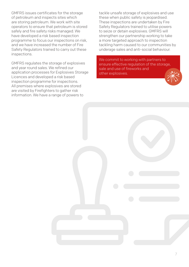GMFRS issues certificates for the storage of petroleum and inspects sites which are storing petroleum. We work with site operators to ensure that petroleum is stored safely and fire safety risks managed. We have developed a risk based inspection programme to focus our inspections on risk, and we have increased the number of Fire Safety Regulators trained to carry out these inspections.

GMFRS regulates the storage of explosives and year round sales. We refined our application processes for Explosives Storage Licences and developed a risk based inspection programme for inspections. All premises where explosives are stored are visited by Firefighters to gather risk information. We have a range of powers to

tackle unsafe storage of explosives and use these when public safety is jeopardised. These inspections are undertaken by Fire Safety Regulators trained to utilise powers to seize or detain explosives. GMFRS will strengthen our partnership working to take a more targeted approach to inspection tackling harm caused to our communities by underage sales and anti-social behaviour.

We commit to working with partners to ensure effective regulation of the storage, sale and use of fireworks and other explosives.

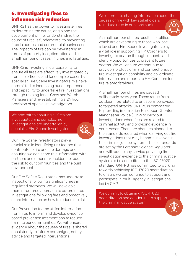## 6. Investigating fires to influence risk reduction

GMFRS has the power to investigate fires to determine the cause, origin and the development of fire. Understanding the cause of fires is fundamental to preventing fires in homes and commercial businesses. The impacts of fire can be devastating in terms of property loss, disruption and, in a small number of cases, injuries and fatalities.

GMFRS is investing in our capability to ensure all fires are effectively investigated by frontline officers, and for complex cases by specialist Fire Scene Investigators. We have committed to increasing our competence and capability to undertake fire investigations through training for all Crew and Watch Managers and re-establishing a 24 hour provision of specialist Investigators.

We commit to ensuring all fires are investigated and complex fire investigations are undertaken by specialist Fire Scene Investigators.



Our Fire Scene Investigators play a crucial role in identifying risk factors that contribute to fire and fire damage and ensuring we can share this information with partners and other stakeholders to reduce the risk to our communities and the built environment.

Our Fire Safety Regulators may undertake inspections following significant fires in regulated premises. We will develop a more structured approach to co-ordinated investigations following fires and proactively share information on how to reduce fire risk.

Our Prevention teams utilise information from fires to inform and develop evidence based prevention interventions to reduce harm to our communities. We will ensure evidence about the causes of fires is shared consistently to inform campaigns, safety advice and targeted interventions.

We commit to sharing information about the causes of fire with key stakeholders to reduce risks in our communities.

A small number of fires result in fatalities which are devastating to those who lose a loved one. Fire Scene Investigators play a vital role in supporting HM Coroners to investigate deaths through Inquests and identify opportunities to prevent future deaths. We will ensure we continue to provide a professional and comprehensive fire investigation capability and co-ordinate information and reports to HM Coroners for fire related fatalities.

A small number of fires are caused deliberately every year. These range from outdoor fires related to antisocial behaviour, to targeted attacks. GMFRS is committed to providing information to support Greater Manchester Police (GMP) to carry out investigations when fires are related to criminal activity and providing evidence in court cases. There are changes planned to the standards required when carrying out fire investigations that may become involved in the criminal justice system. These standards are set by the Forensic Science Regulator and will require any service providing fire investigation evidence to the criminal justice system to be accredited to the ISO-17020 standard. GMFRS has committed to working towards achieving ISO-17020 accreditation to ensure we can continue to support and participate in multi-agency investigations led by GMP.

We commit to obtaining ISO-17020 accreditation and continuing to support the criminal justice system.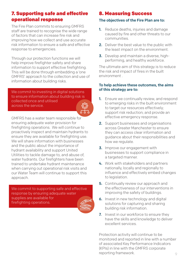## 7. Supporting safe and effective operational response

The Fire Plan commits to ensuring GMFRS staff are trained to recognise the wide range of factors that can increase fire risk and improving how we collect and use accurate risk information to ensure a safe and effective response to emergencies.

Through our protection functions we will help improve firefighter safety and share information to support effective firefighting. This will be done through embedding a 'one GMFRS' approach to the collection and use of information about building risks.

We commit to investing in digital solutions to ensure information about building risk is collected once and utilised across the service.



GMFRS has a water team responsible for ensuring adequate water provision for firefighting operations. We will continue to proactively inspect and maintain hydrants to ensure they are available for firefighting use. We will share information with businesses and the public about the importance of hydrant availability and support United Utilities to tackle damage to, and abuse of, water hydrants. Our firefighters have been trained to undertake hydrant maintenance when carrying out operational risk visits and our Water Team will continue to support this approach.

We commit to supporting safe and effective response by ensuring adequate water supplies are available for firefighting operations.

#### 8. Measuring Success

#### The objectives of the Fire Plan are to:

- **1.** Reduce deaths, injuries and damage caused by fire and other threats to our communities.
- 2. Deliver the best value to the public with the least impact on the environment.
- 3. Develop and maintain a diverse, highperforming, and healthy workforce.

The ultimate aim of this strategy is to reduce the risk and impact of fires in the built environment .

#### To help achieve these outcomes, the aims of this strategy are to:

- **1.** Ensure we continually review, and respond to emerging risks in the built environment to target our resources effectively; support risk reduction; and provide an effective emergency response.
- 2. Support businesses and organisations across Greater Manchester to ensure they can access clear information and guidance about their responsibilities and how we regulate.
- **3.** Improve our engagement with businesses to support compliance in a targeted manner.
- 4. Work with stakeholders and partners nationally, locally and regionally to influence and effectively embed changes to legislation.
- **5.** Continually review our approach and the effectiveness of our interventions in improving the safety of buildings.
- 6. Invest in new technology and digital solutions for capturing and sharing building risk information.
- 7. Invest in our workforce to ensure they have the skills and knowledge to deliver excellent services.

9 Protection activity will continue to be monitored and reported in line with a number of associated Key Performance Indicators (KPIs) in line with the GMFRS corporate reporting framework.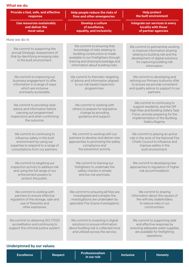| <b>Help protect</b><br>Provide a fast, safe, and effective<br>Help people reduce the risks of                                                                     |                                                                                                                                                                                                                   |                                                                                                                                                                                            |  |  |
|-------------------------------------------------------------------------------------------------------------------------------------------------------------------|-------------------------------------------------------------------------------------------------------------------------------------------------------------------------------------------------------------------|--------------------------------------------------------------------------------------------------------------------------------------------------------------------------------------------|--|--|
| response                                                                                                                                                          | fires and other emergencies                                                                                                                                                                                       | the built environment<br>Integrate our services in every<br>locality with those<br>of partner agencies                                                                                     |  |  |
| <b>Use resources sustainably</b><br>and deliver the<br>most value                                                                                                 | Develop a culture<br>of excellence,<br>equality, and inclusivity                                                                                                                                                  |                                                                                                                                                                                            |  |  |
| How we do it:                                                                                                                                                     |                                                                                                                                                                                                                   |                                                                                                                                                                                            |  |  |
| We commit to supporting the<br>annual Strategic Assessment of<br>Risk by identifying emerging risks<br>in the built environment.                                  | We commit to ensuring that<br>knowledge of risks relating to<br>building construction is made<br>available to our Firefighters through<br>training and sharing knowledge and<br>information about building risks. | We commit to partnership working<br>to improve information sharing<br>relating to building risk and the<br>development of digital solutions<br>for capturing building risk<br>information. |  |  |
| We commit to improving our<br>business engagement to offer<br>information in a range of ways<br>which are inclusive<br>and easily accessible.                     | We commit to thematic targeting<br>of advice and information aligned<br>to our risk based inspection<br>programmes.                                                                                               | We commit to developing and<br>refining our Primary Authority offer<br>to ensure we provide consistent<br>and quality advice to support to our<br>partners.                                |  |  |
| We commit to providing clear<br>advice and information before<br>carrying out programmed<br>inspections and when confirming<br>the outcome.                       | We commit to working with<br>others to prepare for legislative<br>change by providing<br>guidance and support.                                                                                                    | We commit to continuing to<br>support residents, and the GM<br>High Rise and Building Safety Task<br>Force, actively preparing for the<br>implementation of the Building<br>Safety Regime. |  |  |
| We commit to continuing to<br>influence safety in the built<br>environment by using our<br>expertise to respond to a range of<br>consultations from our partners. | We commit to working with our<br>partners to develop and deliver new<br>approaches to promoting fire safety<br>compliance and<br>fire prevention activity.                                                        | We commit to playing an active<br>role in the work of the National Fire<br>Chiefs Council to influence and<br>improve safety in the<br>built environment.                                  |  |  |
| We commit to targeting our<br>inspection activity to address risk<br>and using the full range of our<br>enforcement powers to<br>protect the public.              | We commit to training our<br>firefighters to undertake fire<br>safety checks in simple<br>and low risk premises.                                                                                                  | We commit to developing new<br>approaches to regulation of higher<br>risk accommodation.                                                                                                   |  |  |
| We commit to working with<br>partners to ensure effective<br>regulation of the storage, sale and<br>use of fireworks and<br>other explosives.                     | We commit to ensuring all fires are<br>investigated and complex fire<br>investigations are undertaken by<br>specialist Fire Scene Investigators.                                                                  | We commit to sharing<br>information about the causes of<br>fire with key stakeholders<br>to reduce risks in our<br>communities.                                                            |  |  |
| We commit to obtaining ISO-17020<br>accreditation and continuing to<br>support the criminal justice system.                                                       | We commit to investing in digital<br>solutions to ensure information<br>about building risk is collected once<br>and utilised across the service.                                                                 | We commit to supporting safe<br>and effective response by<br>ensuring adequate water supplies<br>are available for firefighting<br>operations.                                             |  |  |

#### Underpinned by our values:

| <b>Excellence</b> | <b>Respect</b> | <b>Professionalism</b><br>Lin our role <b>\</b> | <b>Inclusive</b> | <b>Honesty</b> |
|-------------------|----------------|-------------------------------------------------|------------------|----------------|
|                   |                |                                                 |                  |                |